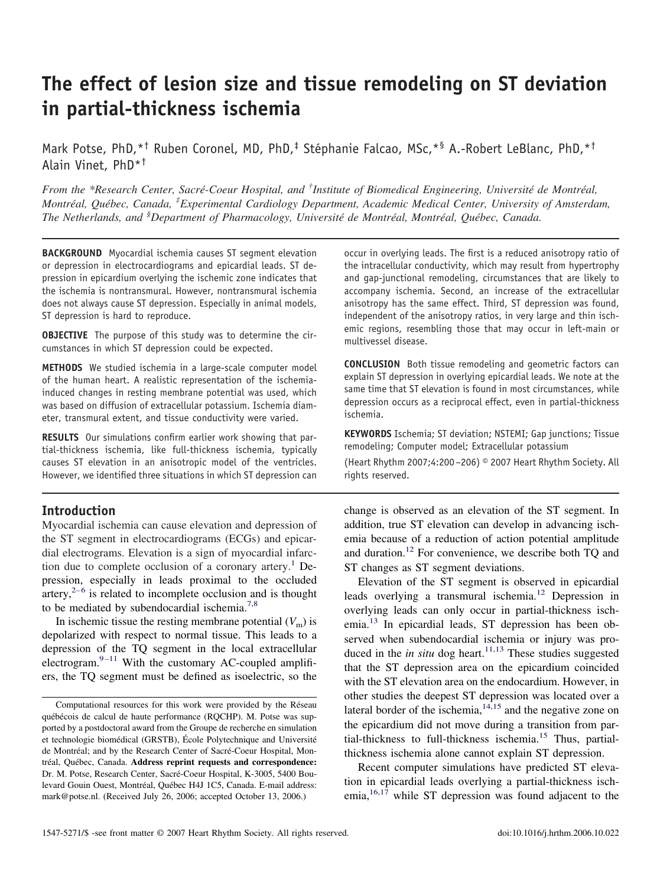# **The effect of lesion size and tissue remodeling on ST deviation in partial-thickness ischemia**

Mark Potse, PhD, \*<sup>†</sup> Ruben Coronel, MD, PhD,<sup>‡</sup> Stéphanie Falcao, MSc, \*<sup>§</sup> A.-Robert LeBlanc, PhD, \*<sup>†</sup> Alain Vinet, PhD\*†

*From the \*Research Center, Sacré-Coeur Hospital, and † Institute of Biomedical Engineering, Université de Montréal, Montréal, Québec, Canada, ‡ Experimental Cardiology Department, Academic Medical Center, University of Amsterdam, The Netherlands, and § Department of Pharmacology, Université de Montréal, Montréal, Québec, Canada.*

**BACKGROUND** Myocardial ischemia causes ST segment elevation or depression in electrocardiograms and epicardial leads. ST depression in epicardium overlying the ischemic zone indicates that the ischemia is nontransmural. However, nontransmural ischemia does not always cause ST depression. Especially in animal models, ST depression is hard to reproduce.

**OBJECTIVE** The purpose of this study was to determine the circumstances in which ST depression could be expected.

**METHODS** We studied ischemia in a large-scale computer model of the human heart. A realistic representation of the ischemiainduced changes in resting membrane potential was used, which was based on diffusion of extracellular potassium. Ischemia diameter, transmural extent, and tissue conductivity were varied.

**RESULTS** Our simulations confirm earlier work showing that partial-thickness ischemia, like full-thickness ischemia, typically causes ST elevation in an anisotropic model of the ventricles. However, we identified three situations in which ST depression can

## **Introduction**

Myocardial ischemia can cause elevation and depression of the ST segment in electrocardiograms (ECGs) and epicardial electrograms. Elevation is a sign of myocardial infarc-tion due to complete occlusion of a coronary artery.<sup>[1](#page-5-0)</sup> Depression, especially in leads proximal to the occluded  $\arct{t}$ <sup>[2–6](#page-5-0)</sup> is related to incomplete occlusion and is thought to be mediated by subendocardial ischemia.<sup>[7,8](#page-5-0)</sup>

In ischemic tissue the resting membrane potential  $(V<sub>m</sub>)$  is depolarized with respect to normal tissue. This leads to a depression of the TQ segment in the local extracellular electrogram. $9-11$  With the customary AC-coupled amplifiers, the TQ segment must be defined as isoelectric, so the

occur in overlying leads. The first is a reduced anisotropy ratio of the intracellular conductivity, which may result from hypertrophy and gap-junctional remodeling, circumstances that are likely to accompany ischemia. Second, an increase of the extracellular anisotropy has the same effect. Third, ST depression was found, independent of the anisotropy ratios, in very large and thin ischemic regions, resembling those that may occur in left-main or multivessel disease.

**CONCLUSION** Both tissue remodeling and geometric factors can explain ST depression in overlying epicardial leads. We note at the same time that ST elevation is found in most circumstances, while depression occurs as a reciprocal effect, even in partial-thickness ischemia.

**KEYWORDS** Ischemia; ST deviation; NSTEMI; Gap junctions; Tissue remodeling; Computer model; Extracellular potassium

(Heart Rhythm 2007;4:200–206) © 2007 Heart Rhythm Society. All rights reserved.

change is observed as an elevation of the ST segment. In addition, true ST elevation can develop in advancing ischemia because of a reduction of action potential amplitude and duration.[12](#page-6-0) For convenience, we describe both TQ and ST changes as ST segment deviations.

Elevation of the ST segment is observed in epicardial leads overlying a transmural ischemia.[12](#page-6-0) Depression in overlying leads can only occur in partial-thickness ischemia.[13](#page-6-0) In epicardial leads, ST depression has been observed when subendocardial ischemia or injury was produced in the *in situ* dog heart.<sup>[11,13](#page-6-0)</sup> These studies suggested that the ST depression area on the epicardium coincided with the ST elevation area on the endocardium. However, in other studies the deepest ST depression was located over a lateral border of the ischemia, $14,15$  and the negative zone on the epicardium did not move during a transition from par-tial-thickness to full-thickness ischemia.<sup>[15](#page-6-0)</sup> Thus, partialthickness ischemia alone cannot explain ST depression.

Recent computer simulations have predicted ST elevation in epicardial leads overlying a partial-thickness ischemia, $16,17$  while ST depression was found adjacent to the

Computational resources for this work were provided by the Réseau québécois de calcul de haute performance (RQCHP). M. Potse was supported by a postdoctoral award from the Groupe de recherche en simulation et technologie biomédical (GRSTB), École Polytechnique and Université de Montréal; and by the Research Center of Sacré-Coeur Hospital, Montréal, Québec, Canada. **Address reprint requests and correspondence:** Dr. M. Potse, Research Center, Sacré-Coeur Hospital, K-3005, 5400 Boulevard Gouin Ouest, Montréal, Québec H4J 1C5, Canada. E-mail address: mark@potse.nl. (Received July 26, 2006; accepted October 13, 2006.)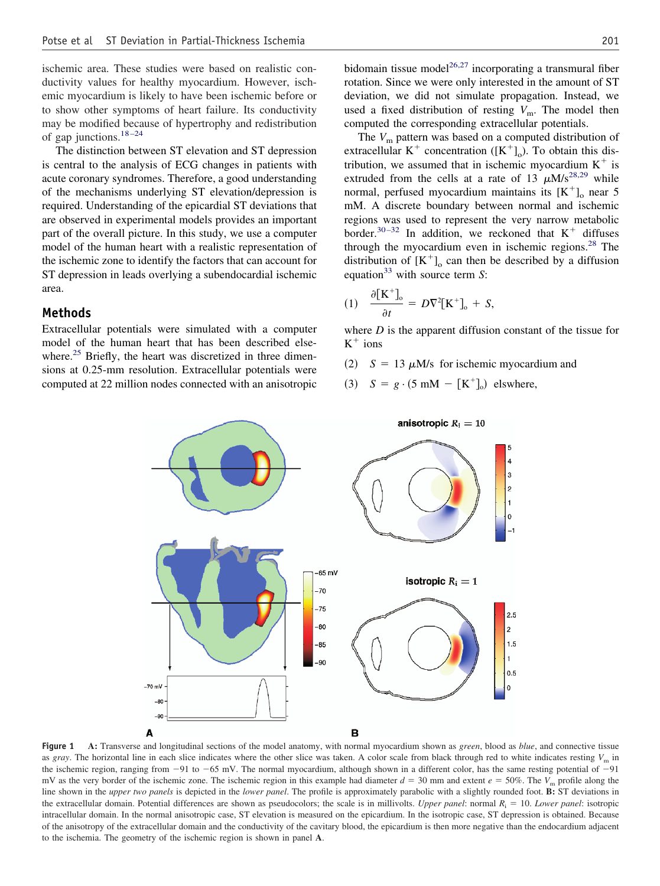<span id="page-1-0"></span>ischemic area. These studies were based on realistic conductivity values for healthy myocardium. However, ischemic myocardium is likely to have been ischemic before or to show other symptoms of heart failure. Its conductivity may be modified because of hypertrophy and redistribution of gap junctions.[18–24](#page-6-0)

The distinction between ST elevation and ST depression is central to the analysis of ECG changes in patients with acute coronary syndromes. Therefore, a good understanding of the mechanisms underlying ST elevation/depression is required. Understanding of the epicardial ST deviations that are observed in experimental models provides an important part of the overall picture. In this study, we use a computer model of the human heart with a realistic representation of the ischemic zone to identify the factors that can account for ST depression in leads overlying a subendocardial ischemic area.

## **Methods**

Extracellular potentials were simulated with a computer model of the human heart that has been described elsewhere. $25$  Briefly, the heart was discretized in three dimensions at 0.25-mm resolution. Extracellular potentials were computed at 22 million nodes connected with an anisotropic

bidomain tissue model<sup>[26,27](#page-6-0)</sup> incorporating a transmural fiber rotation. Since we were only interested in the amount of ST deviation, we did not simulate propagation. Instead, we used a fixed distribution of resting  $V_m$ . The model then computed the corresponding extracellular potentials.

The  $V_m$  pattern was based on a computed distribution of extracellular  $K^+$  concentration ( $[K^+]_0$ ). To obtain this distribution, we assumed that in ischemic myocardium  $K^+$  is extruded from the cells at a rate of 13  $\mu$ M/s<sup>[28,29](#page-6-0)</sup> while normal, perfused myocardium maintains its  $[K^+]_0$  near 5 mM. A discrete boundary between normal and ischemic regions was used to represent the very narrow metabolic border.<sup>[30–32](#page-6-0)</sup> In addition, we reckoned that  $K^+$  diffuses through the myocardium even in ischemic regions. $28$  The distribution of  $[K^+]_0$  can then be described by a diffusion equation<sup>[33](#page-6-0)</sup> with source term *S*:

$$
(1) \quad \frac{\partial [K^+]_o}{\partial t} = D\nabla^2 [K^+]_o + S,
$$

where *D* is the apparent diffusion constant of the tissue for  $K^+$  ions

- (2)  $S = 13 \mu M/s$  for ischemic myocardium and
- (3)  $S = g \cdot (5 \text{ mM} [K^+]_0)$  elswhere,



**Figure 1 A:** Transverse and longitudinal sections of the model anatomy, with normal myocardium shown as *green*, blood as *blue*, and connective tissue as *gray*. The horizontal line in each slice indicates where the other slice was taken. A color scale from black through red to white indicates resting  $V_m$  in the ischemic region, ranging from  $-91$  to  $-65$  mV. The normal myocardium, although shown in a different color, has the same resting potential of  $-91$ mV as the very border of the ischemic zone. The ischemic region in this example had diameter  $d = 30$  mm and extent  $e = 50\%$ . The  $V<sub>m</sub>$  profile along the line shown in the *upper two panels* is depicted in the *lower panel*. The profile is approximately parabolic with a slightly rounded foot. **B:** ST deviations in the extracellular domain. Potential differences are shown as pseudocolors; the scale is in millivolts. *Upper panel*: normal  $R_i = 10$ . *Lower panel*: isotropic intracellular domain. In the normal anisotropic case, ST elevation is measured on the epicardium. In the isotropic case, ST depression is obtained. Because of the anisotropy of the extracellular domain and the conductivity of the cavitary blood, the epicardium is then more negative than the endocardium adjacent to the ischemia. The geometry of the ischemic region is shown in panel **A**.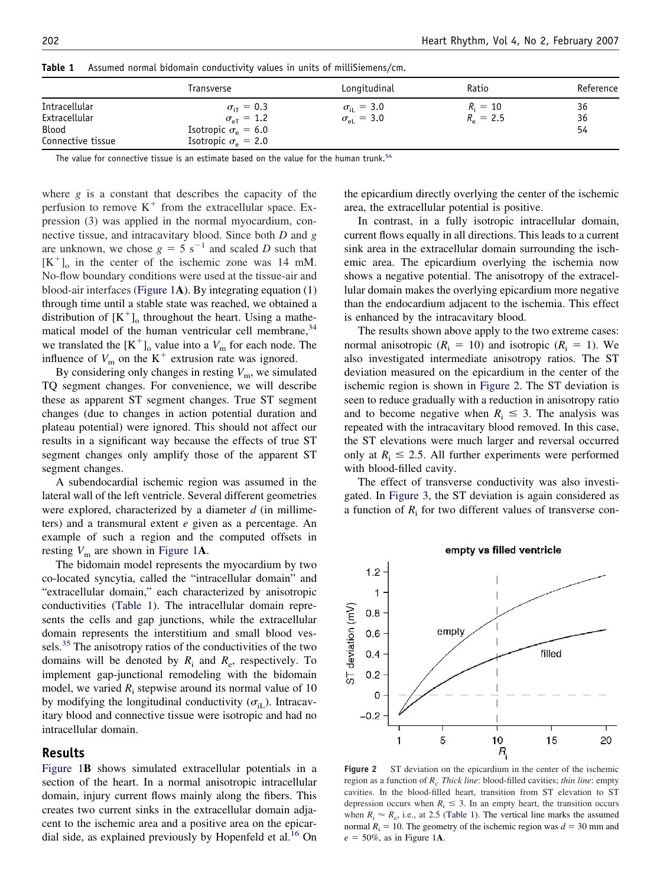|                                                                     | Transverse                                                                                                                     | Longitudinal                                       | Ratio                           | Reference      |
|---------------------------------------------------------------------|--------------------------------------------------------------------------------------------------------------------------------|----------------------------------------------------|---------------------------------|----------------|
| <b>Intracellular</b><br>Extracellular<br>Blood<br>Connective tissue | $\sigma_{\text{ir}} = 0.3$<br>$\sigma_{\rm eff} = 1.2$<br>Isotropic $\sigma_{\rm e} = 6.0$<br>Isotropic $\sigma_{\rm e}$ = 2.0 | $\sigma_{\rm ii} = 3.0$<br>$\sigma_{\rm el} = 3.0$ | $R_i = 10$<br>$R_{\rm e} = 2.5$ | 36<br>36<br>54 |

<span id="page-2-0"></span>**Table 1** Assumed normal bidomain conductivity values in units of milliSiemens/cm.

The value for connective tissue is an estimate based on the value for the human trunk.<sup>[54](#page-6-0)</sup>

where *g* is a constant that describes the capacity of the perfusion to remove  $K^+$  from the extracellular space. Expression (3) was applied in the normal myocardium, connective tissue, and intracavitary blood. Since both *D* and *g* are unknown, we chose  $g = 5$  s<sup>-1</sup> and scaled *D* such that  $[K^+]$ <sub>o</sub> in the center of the ischemic zone was 14 mM. No-flow boundary conditions were used at the tissue-air and blood-air interfaces [\(Figure 1](#page-1-0)**A**). By integrating equation (1) through time until a stable state was reached, we obtained a distribution of  $[K^+]$ <sub>o</sub> throughout the heart. Using a mathematical model of the human ventricular cell membrane,  $34$ we translated the  $[K^+]_o$  value into a  $V_m$  for each node. The influence of  $V_m$  on the  $K^+$  extrusion rate was ignored.

By considering only changes in resting  $V_m$ , we simulated TQ segment changes. For convenience, we will describe these as apparent ST segment changes. True ST segment changes (due to changes in action potential duration and plateau potential) were ignored. This should not affect our results in a significant way because the effects of true ST segment changes only amplify those of the apparent ST segment changes.

A subendocardial ischemic region was assumed in the lateral wall of the left ventricle. Several different geometries were explored, characterized by a diameter *d* (in millimeters) and a transmural extent *e* given as a percentage. An example of such a region and the computed offsets in resting  $V_m$  are shown in [Figure 1](#page-1-0)**A**.

The bidomain model represents the myocardium by two co-located syncytia, called the "intracellular domain" and "extracellular domain," each characterized by anisotropic conductivities (Table 1). The intracellular domain represents the cells and gap junctions, while the extracellular domain represents the interstitium and small blood ves-sels.<sup>[35](#page-6-0)</sup> The anisotropy ratios of the conductivities of the two domains will be denoted by  $R_i$  and  $R_e$ , respectively. To implement gap-junctional remodeling with the bidomain model, we varied  $R_i$  stepwise around its normal value of 10 by modifying the longitudinal conductivity  $(\sigma_{\text{ii}})$ . Intracavitary blood and connective tissue were isotropic and had no intracellular domain.

## **Results**

Figure 1**B** shows simulated extracellular potentials in a section of the heart. In a normal anisotropic intracellular domain, injury current flows mainly along the fibers. This creates two current sinks in the extracellular domain adjacent to the ischemic area and a positive area on the epicar-dial side, as explained previously by Hopenfeld et al.<sup>[16](#page-6-0)</sup> On

the epicardium directly overlying the center of the ischemic area, the extracellular potential is positive.

In contrast, in a fully isotropic intracellular domain, current flows equally in all directions. This leads to a current sink area in the extracellular domain surrounding the ischemic area. The epicardium overlying the ischemia now shows a negative potential. The anisotropy of the extracellular domain makes the overlying epicardium more negative than the endocardium adjacent to the ischemia. This effect is enhanced by the intracavitary blood.

The results shown above apply to the two extreme cases: normal anisotropic  $(R<sub>i</sub> = 10)$  and isotropic  $(R<sub>i</sub> = 1)$ . We also investigated intermediate anisotropy ratios. The ST deviation measured on the epicardium in the center of the ischemic region is shown in Figure 2. The ST deviation is seen to reduce gradually with a reduction in anisotropy ratio and to become negative when  $R_i \leq 3$ . The analysis was repeated with the intracavitary blood removed. In this case, the ST elevations were much larger and reversal occurred only at  $R_i \le 2.5$ . All further experiments were performed with blood-filled cavity.

The effect of transverse conductivity was also investigated. In [Figure 3,](#page-3-0) the ST deviation is again considered as a function of  $R_i$  for two different values of transverse con-

empty vs filled ventricle



**Figure 2** ST deviation on the epicardium in the center of the ischemic region as a function of *R*<sup>i</sup> . *Thick line*: blood-filled cavities; *thin line*: empty cavities. In the blood-filled heart, transition from ST elevation to ST depression occurs when  $R_i \leq 3$ . In an empty heart, the transition occurs when  $R_i \approx R_e$ , i.e., at 2.5 (Table 1). The vertical line marks the assumed normal  $R_i = 10$ . The geometry of the ischemic region was  $d = 30$  mm and  $e = 50\%$ , as in Figure 1A.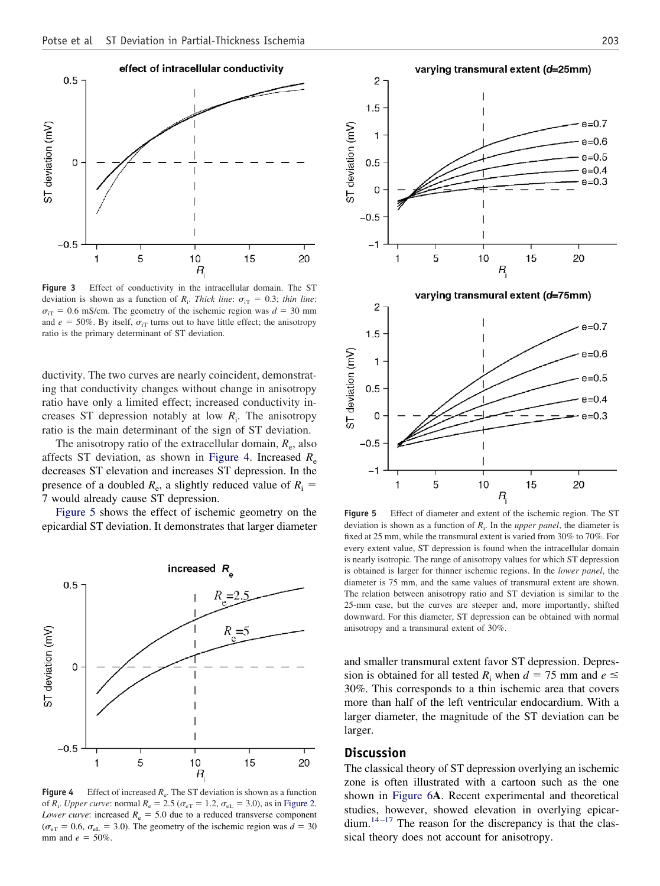<span id="page-3-0"></span>

**Figure 3** Effect of conductivity in the intracellular domain. The ST deviation is shown as a function of  $R_i$ . *Thick line*:  $\sigma_{iT} = 0.3$ ; *thin line*:  $\sigma_{\text{ir}}$  = 0.6 mS/cm. The geometry of the ischemic region was  $d = 30$  mm and  $e = 50\%$ . By itself,  $\sigma_{iT}$  turns out to have little effect; the anisotropy ratio is the primary determinant of ST deviation.

ductivity. The two curves are nearly coincident, demonstrating that conductivity changes without change in anisotropy ratio have only a limited effect; increased conductivity increases ST depression notably at low *R*<sup>i</sup> . The anisotropy ratio is the main determinant of the sign of ST deviation.

The anisotropy ratio of the extracellular domain,  $R_e$ , also affects ST deviation, as shown in Figure 4. Increased *R*<sup>e</sup> decreases ST elevation and increases ST depression. In the presence of a doubled  $R_e$ , a slightly reduced value of  $R_i$  = 7 would already cause ST depression.

Figure 5 shows the effect of ischemic geometry on the epicardial ST deviation. It demonstrates that larger diameter



**Figure 4** Effect of increased  $R_e$ . The ST deviation is shown as a function of *R*<sub>i</sub>. *Upper curve*: normal *R*<sub>e</sub> = 2.5 ( $\sigma_{eT}$  = 1.2,  $\sigma_{eL}$  = 3.0), as in [Figure 2.](#page-2-0) *Lower curve:* increased  $R_e = 5.0$  due to a reduced transverse component ( $\sigma_{\text{eT}}$  = 0.6,  $\sigma_{\text{eL}}$  = 3.0). The geometry of the ischemic region was  $d = 30$ mm and  $e = 50\%$ .



**Figure 5** Effect of diameter and extent of the ischemic region. The ST deviation is shown as a function of *R*<sup>i</sup> . In the *upper panel*, the diameter is fixed at 25 mm, while the transmural extent is varied from 30% to 70%. For every extent value, ST depression is found when the intracellular domain is nearly isotropic. The range of anisotropy values for which ST depression is obtained is larger for thinner ischemic regions. In the *lower panel*, the diameter is 75 mm, and the same values of transmural extent are shown. The relation between anisotropy ratio and ST deviation is similar to the 25-mm case, but the curves are steeper and, more importantly, shifted downward. For this diameter, ST depression can be obtained with normal anisotropy and a transmural extent of 30%.

and smaller transmural extent favor ST depression. Depression is obtained for all tested  $R_i$  when  $d = 75$  mm and  $e \leq$ 30%. This corresponds to a thin ischemic area that covers more than half of the left ventricular endocardium. With a larger diameter, the magnitude of the ST deviation can be larger.

## **Discussion**

The classical theory of ST depression overlying an ischemic zone is often illustrated with a cartoon such as the one shown in [Figure 6](#page-4-0)**A**. Recent experimental and theoretical studies, however, showed elevation in overlying epicar-dium.<sup>[14–17](#page-6-0)</sup> The reason for the discrepancy is that the classical theory does not account for anisotropy.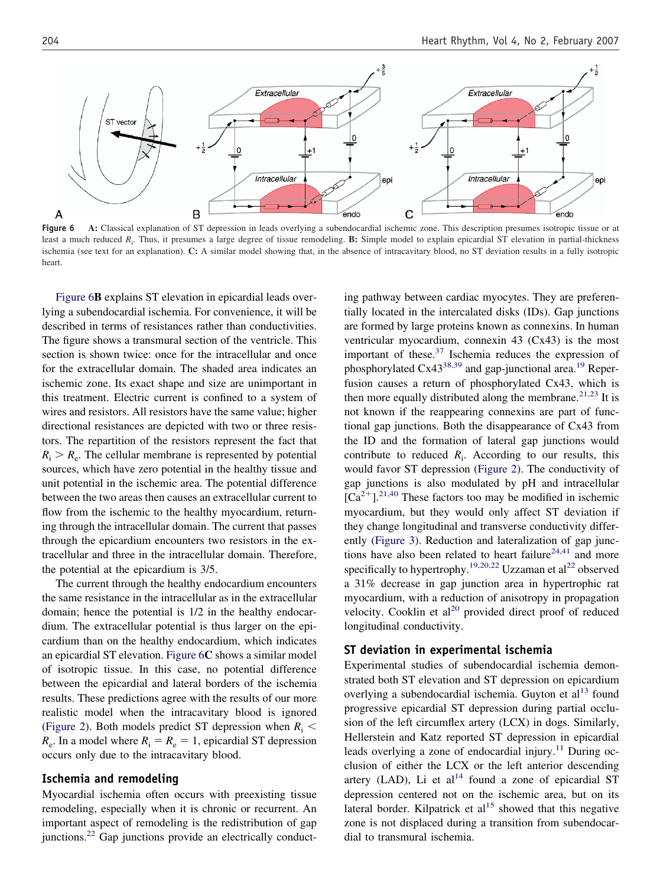<span id="page-4-0"></span>

Figure 6 A: Classical explanation of ST depression in leads overlying a subendocardial ischemic zone. This description presumes isotropic tissue or at least a much reduced *R*<sup>i</sup> . Thus, it presumes a large degree of tissue remodeling. **B:** Simple model to explain epicardial ST elevation in partial-thickness ischemia (see text for an explanation). **C:** A similar model showing that, in the absence of intracavitary blood, no ST deviation results in a fully isotropic heart.

Figure 6**B** explains ST elevation in epicardial leads overlying a subendocardial ischemia. For convenience, it will be described in terms of resistances rather than conductivities. The figure shows a transmural section of the ventricle. This section is shown twice: once for the intracellular and once for the extracellular domain. The shaded area indicates an ischemic zone. Its exact shape and size are unimportant in this treatment. Electric current is confined to a system of wires and resistors. All resistors have the same value; higher directional resistances are depicted with two or three resistors. The repartition of the resistors represent the fact that  $R_i > R_e$ . The cellular membrane is represented by potential sources, which have zero potential in the healthy tissue and unit potential in the ischemic area. The potential difference between the two areas then causes an extracellular current to flow from the ischemic to the healthy myocardium, returning through the intracellular domain. The current that passes through the epicardium encounters two resistors in the extracellular and three in the intracellular domain. Therefore, the potential at the epicardium is 3/5.

The current through the healthy endocardium encounters the same resistance in the intracellular as in the extracellular domain; hence the potential is 1/2 in the healthy endocardium. The extracellular potential is thus larger on the epicardium than on the healthy endocardium, which indicates an epicardial ST elevation. Figure 6**C** shows a similar model of isotropic tissue. In this case, no potential difference between the epicardial and lateral borders of the ischemia results. These predictions agree with the results of our more realistic model when the intracavitary blood is ignored [\(Figure 2\)](#page-2-0). Both models predict ST depression when  $R_i$  <  $R_e$ . In a model where  $R_i = R_e = 1$ , epicardial ST depression occurs only due to the intracavitary blood.

### **Ischemia and remodeling**

Myocardial ischemia often occurs with preexisting tissue remodeling, especially when it is chronic or recurrent. An important aspect of remodeling is the redistribution of gap junctions.<sup>[22](#page-6-0)</sup> Gap junctions provide an electrically conduct-

ing pathway between cardiac myocytes. They are preferentially located in the intercalated disks (IDs). Gap junctions are formed by large proteins known as connexins. In human ventricular myocardium, connexin 43 (Cx43) is the most important of these. $37$  Ischemia reduces the expression of phosphorylated Cx43<sup>[38,39](#page-6-0)</sup> and gap-junctional area.<sup>[19](#page-6-0)</sup> Reperfusion causes a return of phosphorylated Cx43, which is then more equally distributed along the membrane.<sup>[21,23](#page-6-0)</sup> It is not known if the reappearing connexins are part of functional gap junctions. Both the disappearance of Cx43 from the ID and the formation of lateral gap junctions would contribute to reduced  $R_i$ . According to our results, this would favor ST depression [\(Figure 2\)](#page-2-0). The conductivity of gap junctions is also modulated by pH and intracellular  $[Ca^{2+}].^{21,40}$  $[Ca^{2+}].^{21,40}$  $[Ca^{2+}].^{21,40}$  These factors too may be modified in ischemic myocardium, but they would only affect ST deviation if they change longitudinal and transverse conductivity differently [\(Figure 3\)](#page-3-0). Reduction and lateralization of gap junc-tions have also been related to heart failure<sup>[24,41](#page-6-0)</sup> and more specifically to hypertrophy.<sup>[19,20,22](#page-6-0)</sup> Uzzaman et al<sup>[22](#page-6-0)</sup> observed a 31% decrease in gap junction area in hypertrophic rat myocardium, with a reduction of anisotropy in propagation velocity. Cooklin et  $al^{20}$  $al^{20}$  $al^{20}$  provided direct proof of reduced longitudinal conductivity.

#### **ST deviation in experimental ischemia**

Experimental studies of subendocardial ischemia demonstrated both ST elevation and ST depression on epicardium overlying a subendocardial ischemia. Guyton et  $al<sup>13</sup>$  $al<sup>13</sup>$  $al<sup>13</sup>$  found progressive epicardial ST depression during partial occlusion of the left circumflex artery (LCX) in dogs. Similarly, Hellerstein and Katz reported ST depression in epicardial leads overlying a zone of endocardial injury.<sup>[11](#page-6-0)</sup> During occlusion of either the LCX or the left anterior descending artery (LAD), Li et  $al^{14}$  $al^{14}$  $al^{14}$  found a zone of epicardial ST depression centered not on the ischemic area, but on its lateral border. Kilpatrick et  $al<sup>15</sup>$  $al<sup>15</sup>$  $al<sup>15</sup>$  showed that this negative zone is not displaced during a transition from subendocardial to transmural ischemia.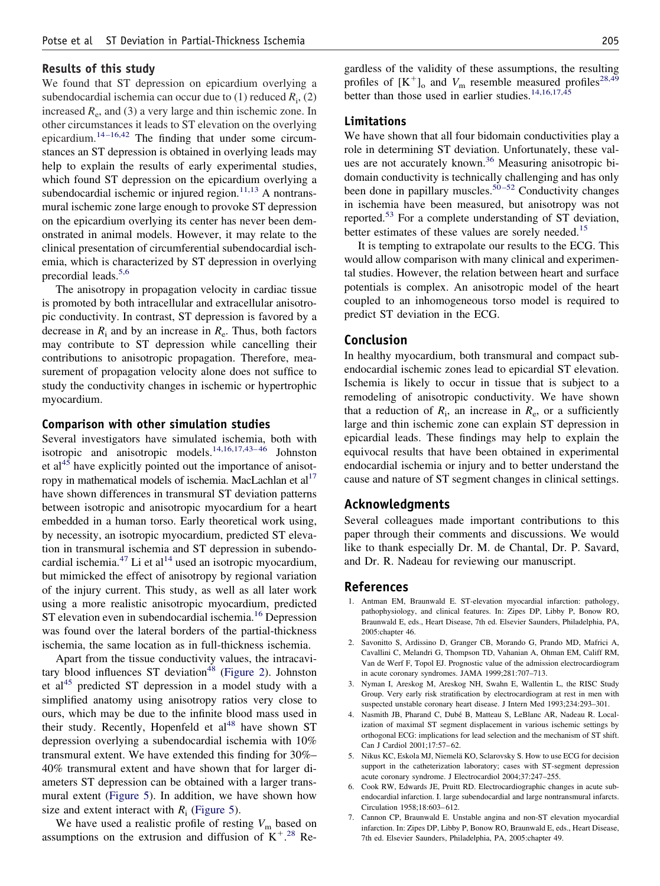## <span id="page-5-0"></span>**Results of this study**

We found that ST depression on epicardium overlying a subendocardial ischemia can occur due to (1) reduced *R*<sup>i</sup> , (2) increased  $R_e$ , and (3) a very large and thin ischemic zone. In other circumstances it leads to ST elevation on the overlying epicardium.[14–16,42](#page-6-0) The finding that under some circumstances an ST depression is obtained in overlying leads may help to explain the results of early experimental studies, which found ST depression on the epicardium overlying a subendocardial ischemic or injured region. $11,13$  A nontransmural ischemic zone large enough to provoke ST depression on the epicardium overlying its center has never been demonstrated in animal models. However, it may relate to the clinical presentation of circumferential subendocardial ischemia, which is characterized by ST depression in overlying precordial leads.<sup>5,6</sup>

The anisotropy in propagation velocity in cardiac tissue is promoted by both intracellular and extracellular anisotropic conductivity. In contrast, ST depression is favored by a decrease in  $R_i$  and by an increase in  $R_e$ . Thus, both factors may contribute to ST depression while cancelling their contributions to anisotropic propagation. Therefore, measurement of propagation velocity alone does not suffice to study the conductivity changes in ischemic or hypertrophic myocardium.

#### **Comparison with other simulation studies**

Several investigators have simulated ischemia, both with isotropic and anisotropic models.[14,16,17,43–46](#page-6-0) Johnston et al<sup>[45](#page-6-0)</sup> have explicitly pointed out the importance of anisotropy in mathematical models of ischemia. MacLachlan et  $al<sup>17</sup>$ have shown differences in transmural ST deviation patterns between isotropic and anisotropic myocardium for a heart embedded in a human torso. Early theoretical work using, by necessity, an isotropic myocardium, predicted ST elevation in transmural ischemia and ST depression in subendocardial ischemia. $^{47}$  $^{47}$  $^{47}$  Li et al<sup>[14](#page-6-0)</sup> used an isotropic myocardium, but mimicked the effect of anisotropy by regional variation of the injury current. This study, as well as all later work using a more realistic anisotropic myocardium, predicted ST elevation even in subendocardial ischemia.<sup>[16](#page-6-0)</sup> Depression was found over the lateral borders of the partial-thickness ischemia, the same location as in full-thickness ischemia.

Apart from the tissue conductivity values, the intracavi-tary blood influences ST deviation<sup>[48](#page-6-0)</sup> [\(Figure 2\)](#page-2-0). Johnston et al<sup>[45](#page-6-0)</sup> predicted ST depression in a model study with a simplified anatomy using anisotropy ratios very close to ours, which may be due to the infinite blood mass used in their study. Recently, Hopenfeld et  $al<sup>48</sup>$  $al<sup>48</sup>$  $al<sup>48</sup>$  have shown ST depression overlying a subendocardial ischemia with 10% transmural extent. We have extended this finding for 30%– 40% transmural extent and have shown that for larger diameters ST depression can be obtained with a larger transmural extent [\(Figure 5\)](#page-3-0). In addition, we have shown how size and extent interact with  $R_i$  [\(Figure 5\)](#page-3-0).

We have used a realistic profile of resting  $V_m$  based on assumptions on the extrusion and diffusion of  $K^{+.28}$  $K^{+.28}$  $K^{+.28}$  Re-

gardless of the validity of these assumptions, the resulting profiles of  $[K^+]$ <sub>o</sub> and  $V_m$  resemble measured profiles<sup>[28,49](#page-6-0)</sup> better than those used in earlier studies.<sup>[14,16,17,45](#page-6-0)</sup>

## **Limitations**

We have shown that all four bidomain conductivities play a role in determining ST deviation. Unfortunately, these val-ues are not accurately known.<sup>[36](#page-6-0)</sup> Measuring anisotropic bidomain conductivity is technically challenging and has only been done in papillary muscles.<sup>[50–52](#page-6-0)</sup> Conductivity changes in ischemia have been measured, but anisotropy was not reported.[53](#page-6-0) For a complete understanding of ST deviation, better estimates of these values are sorely needed.<sup>[15](#page-6-0)</sup>

It is tempting to extrapolate our results to the ECG. This would allow comparison with many clinical and experimental studies. However, the relation between heart and surface potentials is complex. An anisotropic model of the heart coupled to an inhomogeneous torso model is required to predict ST deviation in the ECG.

## **Conclusion**

In healthy myocardium, both transmural and compact subendocardial ischemic zones lead to epicardial ST elevation. Ischemia is likely to occur in tissue that is subject to a remodeling of anisotropic conductivity. We have shown that a reduction of  $R_i$ , an increase in  $R_e$ , or a sufficiently large and thin ischemic zone can explain ST depression in epicardial leads. These findings may help to explain the equivocal results that have been obtained in experimental endocardial ischemia or injury and to better understand the cause and nature of ST segment changes in clinical settings.

### **Acknowledgments**

Several colleagues made important contributions to this paper through their comments and discussions. We would like to thank especially Dr. M. de Chantal, Dr. P. Savard, and Dr. R. Nadeau for reviewing our manuscript.

### **References**

- 1. Antman EM, Braunwald E. ST-elevation myocardial infarction: pathology, pathophysiology, and clinical features. In: Zipes DP, Libby P, Bonow RO, Braunwald E, eds., Heart Disease, 7th ed. Elsevier Saunders, Philadelphia, PA, 2005:chapter 46.
- 2. Savonitto S, Ardissino D, Granger CB, Morando G, Prando MD, Mafrici A, Cavallini C, Melandri G, Thompson TD, Vahanian A, Ohman EM, Califf RM, Van de Werf F, Topol EJ. Prognostic value of the admission electrocardiogram in acute coronary syndromes. JAMA 1999;281:707–713.
- 3. Nyman I, Areskog M, Areskog NH, Swahn E, Wallentin L, the RISC Study Group. Very early risk stratification by electrocardiogram at rest in men with suspected unstable coronary heart disease. J Intern Med 1993;234:293–301.
- 4. Nasmith JB, Pharand C, Dubé B, Matteau S, LeBlanc AR, Nadeau R. Localization of maximal ST segment displacement in various ischemic settings by orthogonal ECG: implications for lead selection and the mechanism of ST shift. Can J Cardiol 2001;17:57–62.
- 5. Nikus KC, Eskola MJ, Niemelä KO, Sclarovsky S. How to use ECG for decision support in the catheterization laboratory; cases with ST-segment depression acute coronary syndrome. J Electrocardiol 2004;37:247–255.
- 6. Cook RW, Edwards JE, Pruitt RD. Electrocardiographic changes in acute subendocardial infarction. I. large subendocardial and large nontransmural infarcts. Circulation 1958;18:603–612.
- 7. Cannon CP, Braunwald E. Unstable angina and non-ST elevation myocardial infarction. In: Zipes DP, Libby P, Bonow RO, Braunwald E, eds., Heart Disease, 7th ed. Elsevier Saunders, Philadelphia, PA, 2005:chapter 49.